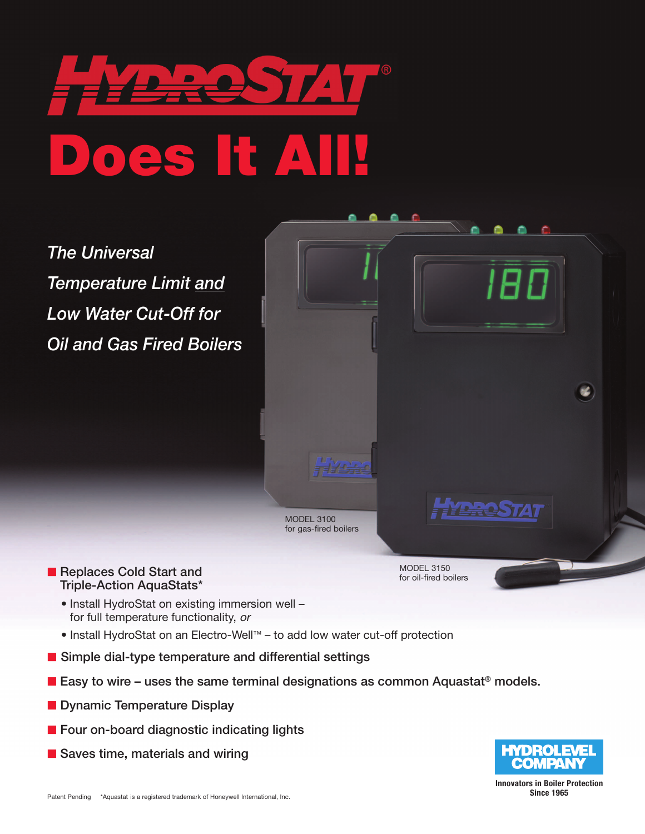

# **Does It All!**

*The Universal Temperature Limit and Low Water Cut-Off for Oil and Gas Fired Boilers*

> MODEL 3100 for gas-fired boilers

Replaces Cold Start and Triple-Action AquaStats\*

MODEL 3150 for oil-fired boilers

- Install HydroStat on existing immersion well for full temperature functionality, or
- Install HydroStat on an Electro-Well™ to add low water cut-off protection
- Simple dial-type temperature and differential settings
- Easy to wire uses the same terminal designations as common Aquastat<sup>®</sup> models.
- **Dynamic Temperature Display**
- **Four on-board diagnostic indicating lights**
- Saves time, materials and wiring



 $\mathbf{z}$ 

**Innovators in Boiler Protection Since 1965**